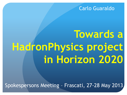#### Carlo Guaraldo

# **Towards a HadronPhysics project in Horizon 2020**

Spokespersons Meeting – Frascati, 27-28 May 2013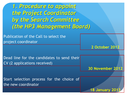*1. Procedure to appoint the Project Coordinator by the Search Committee (the HP3 Management Board)*

Publication of the Call to select the project coordinator

**2 October 2012**

Dead line for the candidates to send their CV (2 applications received)

**30 November 2012**

**18 January 2013**

Start selection process for the choice of the new coordinator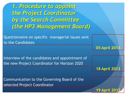*1. Procedure to appoint the Project Coordinator by the Search Committee (the HP3 Management Board)*

Questionnaire on specific managerial issues sent to the Candidates

**05 April 2013**

**18 April 2013**

**19 Apri** 

Interview of the candidates and appointment of the new Project Coordinator for Horizon 2020

Communication to the Governing Board of the selected Project Coordinator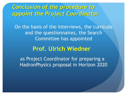### *Conclusion of the procedure to appoint the Project Coordinator*

On the basis of the interviews, the curricula and the questionnaires, the Search Committee has appointed

#### **Prof. Ulrich Wiedner**

as Project Coordinator for preparing a HadronPhysics proposal in Horizon 2020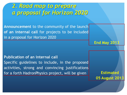### *2. Road map to prepare a proposal for Horizon 2020*

**Announcement** to the community of the launch **of an internal call** for projects to be included in a proposal for Horizon 2020

#### **Publication of an internal call**

Specific guidelines to include, in the proposed activities, strong and convincing justifications for a forth HadronPhysics project, will be given **Estimated**

**05 August 2013**

**End May 2013**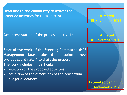**Dead line to the community** to deliver the proposed activities for Horizon 2020 **Extimated** 

**15 November 2013**

**Oral presentation** of the proposed activities **Extimated** 

**Start of the work of the Steering Committee (HP3 Management Board plus the appointed new project coordinator)** to draft the proposal. The work includes, in particular

- selection of the proposed activities
- definition of the dimensions of the consortium
- budget allocations

**30 November 2013**

**Estimated beginning December 2013**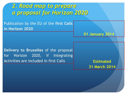*2. Road map to prepare a proposal for Horizon 2020*

Publication by the EU of the **first Calls in Horizon 2020**

**Delivery to Bruxelles** of the proposal for Horizon 2020, if Integrating Activities are included in first Calls **Extimated** 

**31 March 2014**

**01 January 2014**